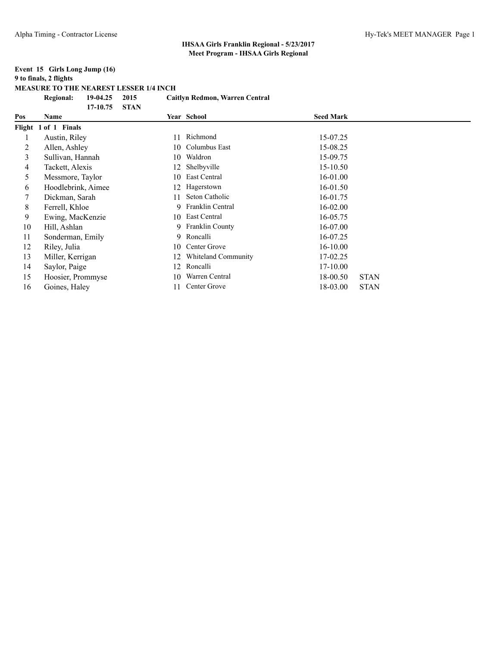#### **Event 15 Girls Long Jump (16) 9 to finals, 2 flights MEASURE TO THE NEAREST LESSER 1/4 INCH Regional: 19-04.25 2015 Caitlyn Redmon, Warren Central**

|     | 17-10.75             | <b>STAN</b> |                            |                  |             |
|-----|----------------------|-------------|----------------------------|------------------|-------------|
| Pos | Name                 |             | <b>Year School</b>         | <b>Seed Mark</b> |             |
|     | Flight 1 of 1 Finals |             |                            |                  |             |
|     | Austin, Riley        |             | Richmond                   | 15-07.25         |             |
| 2   | Allen, Ashley        | 10.         | Columbus East              | 15-08.25         |             |
| 3   | Sullivan, Hannah     | 10          | Waldron                    | 15-09.75         |             |
| 4   | Tackett, Alexis      | 12          | Shelbyville                | 15-10.50         |             |
| 5   | Messmore, Taylor     | 10          | East Central               | 16-01.00         |             |
| 6   | Hoodlebrink, Aimee   | 12          | Hagerstown                 | 16-01.50         |             |
| 7   | Dickman, Sarah       |             | Seton Catholic             | 16-01.75         |             |
| 8   | Ferrell, Khloe       | 9.          | Franklin Central           | $16 - 02.00$     |             |
| 9   | Ewing, MacKenzie     |             | 10 East Central            | 16-05.75         |             |
| 10  | Hill, Ashlan         | 9.          | <b>Franklin County</b>     | 16-07.00         |             |
| 11  | Sonderman, Emily     | 9.          | Roncalli                   | 16-07.25         |             |
| 12  | Riley, Julia         | 10          | Center Grove               | $16 - 10.00$     |             |
| 13  | Miller, Kerrigan     | 12          | <b>Whiteland Community</b> | 17-02.25         |             |
| 14  | Saylor, Paige        | 12          | Roncalli                   | $17-10.00$       |             |
| 15  | Hoosier, Prommyse    | 10          | Warren Central             | 18-00.50         | <b>STAN</b> |
| 16  | Goines, Haley        |             | Center Grove               | 18-03.00         | <b>STAN</b> |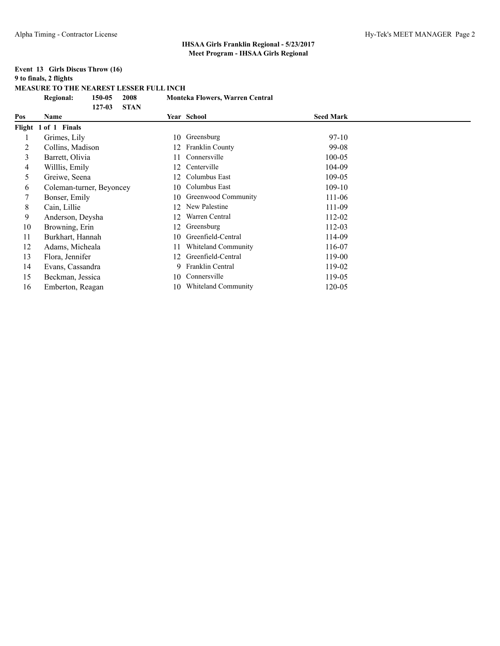### **Event 13 Girls Discus Throw (16) 9 to finals, 2 flights**

**MEASURE TO THE NEAREST LESSER FULL INCH**

|        | <b>Regional:</b><br>150-05<br>2008 | <b>Monteka Flowers, Warren Central</b> |                  |
|--------|------------------------------------|----------------------------------------|------------------|
|        | <b>STAN</b><br>$127 - 03$          |                                        |                  |
| Pos    | Name                               | Year School                            | <b>Seed Mark</b> |
| Flight | 1 of 1 Finals                      |                                        |                  |
|        | Grimes, Lily                       | Greensburg<br>10                       | 97-10            |
| 2      | Collins, Madison                   | Franklin County<br>12                  | 99-08            |
| 3      | Barrett, Olivia                    | Connersville                           | $100 - 05$       |
| 4      | Willlis, Emily                     | Centerville<br>12.                     | 104-09           |
| 5      | Greiwe, Seena                      | Columbus East<br>12                    | 109-05           |
| 6      | Coleman-turner, Beyoncey           | Columbus East<br>10                    | $109-10$         |
| 7      | Bonser, Emily                      | Greenwood Community<br>10              | 111-06           |
| 8      | Cain, Lillie                       | New Palestine<br>12                    | 111-09           |
| 9      | Anderson, Deysha                   | Warren Central<br>12                   | 112-02           |
| 10     | Browning, Erin                     | Greensburg<br>12                       | 112-03           |
| 11     | Burkhart, Hannah                   | Greenfield-Central<br>10               | 114-09           |
| 12     | Adams, Micheala                    | Whiteland Community                    | 116-07           |
| 13     | Flora, Jennifer                    | Greenfield-Central<br>12               | 119-00           |
| 14     | Evans, Cassandra                   | Franklin Central<br>9.                 | 119-02           |
| 15     | Beckman, Jessica                   | Connersville<br>10                     | 119-05           |
| 16     | Emberton, Reagan                   | <b>Whiteland Community</b><br>10       | 120-05           |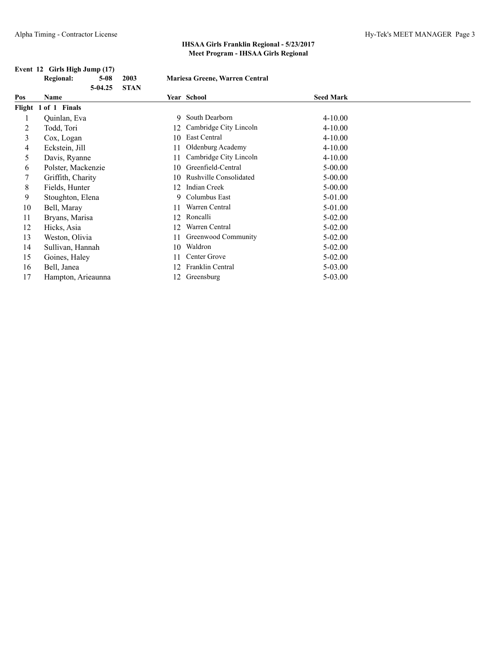|     | Event 12 Girls High Jump (17) |             |                                |                  |
|-----|-------------------------------|-------------|--------------------------------|------------------|
|     | <b>Regional:</b><br>$5-08$    | 2003        | Mariesa Greene, Warren Central |                  |
|     | $5-04.25$                     | <b>STAN</b> |                                |                  |
| Pos | Name                          |             | <b>Year School</b>             | <b>Seed Mark</b> |
|     | Flight 1 of 1 Finals          |             |                                |                  |
|     | Quinlan, Eva                  | 9           | South Dearborn                 | $4 - 10.00$      |
| 2   | Todd, Tori                    | 12          | Cambridge City Lincoln         | $4 - 10.00$      |
| 3   | Cox, Logan                    | 10          | East Central                   | $4 - 10.00$      |
| 4   | Eckstein, Jill                | 11          | Oldenburg Academy              | $4 - 10.00$      |
| 5   | Davis, Ryanne                 | 11          | Cambridge City Lincoln         | $4 - 10.00$      |
| 6   | Polster, Mackenzie            | 10          | Greenfield-Central             | $5 - 00.00$      |
| 7   | Griffith, Charity             | 10          | <b>Rushville Consolidated</b>  | $5 - 00.00$      |
| 8   | Fields, Hunter                | 12          | Indian Creek                   | $5 - 00.00$      |
| 9   | Stoughton, Elena              | 9           | Columbus East                  | 5-01.00          |
| 10  | Bell, Maray                   | 11          | Warren Central                 | 5-01.00          |
| 11  | Bryans, Marisa                | 12          | Roncalli                       | $5-02.00$        |
| 12  | Hicks, Asia                   | 12          | Warren Central                 | $5 - 02.00$      |
| 13  | Weston, Olivia                | 11          | Greenwood Community            | $5 - 02.00$      |
| 14  | Sullivan, Hannah              | 10          | Waldron                        | $5-02.00$        |
| 15  | Goines, Haley                 | 11          | Center Grove                   | $5 - 02.00$      |
| 16  | Bell, Janea                   | 12          | Franklin Central               | $5 - 03.00$      |
| 17  | Hampton, Arieaunna            | 12          | Greensburg                     | $5 - 03.00$      |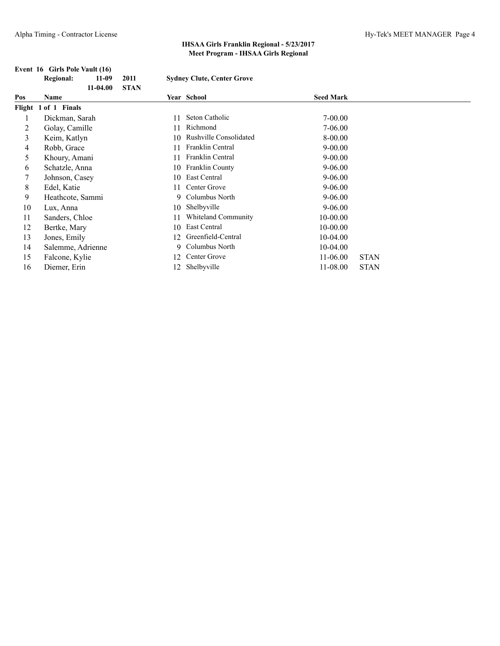|     | Event 16 Girls Pole Vault (16)      |    |                                   |                  |             |
|-----|-------------------------------------|----|-----------------------------------|------------------|-------------|
|     | <b>Regional:</b><br>2011<br>$11-09$ |    | <b>Sydney Clute, Center Grove</b> |                  |             |
|     | $11-04.00$<br><b>STAN</b>           |    |                                   |                  |             |
| Pos | Name                                |    | Year School                       | <b>Seed Mark</b> |             |
|     | Flight 1 of 1 Finals                |    |                                   |                  |             |
|     | Dickman, Sarah                      | 11 | Seton Catholic                    | $7 - 00.00$      |             |
| 2   | Golay, Camille                      | 11 | Richmond                          | 7-06.00          |             |
| 3   | Keim, Katlyn                        | 10 | <b>Rushville Consolidated</b>     | 8-00.00          |             |
| 4   | Robb, Grace                         | 11 | Franklin Central                  | $9 - 00.00$      |             |
| 5   | Khoury, Amani                       | 11 | Franklin Central                  | $9 - 00.00$      |             |
| 6   | Schatzle, Anna                      | 10 | Franklin County                   | $9 - 06.00$      |             |
| 7   | Johnson, Casey                      | 10 | East Central                      | $9 - 06.00$      |             |
| 8   | Edel, Katie                         | 11 | Center Grove                      | $9 - 06.00$      |             |
| 9   | Heathcote, Sammi                    | 9  | Columbus North                    | $9 - 06.00$      |             |
| 10  | Lux, Anna                           | 10 | Shelbyville                       | $9 - 06.00$      |             |
| 11  | Sanders, Chloe                      | 11 | <b>Whiteland Community</b>        | $10 - 00.00$     |             |
| 12  | Bertke, Mary                        | 10 | East Central                      | $10 - 00.00$     |             |
| 13  | Jones, Emily                        | 12 | Greenfield-Central                | $10-04.00$       |             |
| 14  | Salemme, Adrienne                   | 9  | Columbus North                    | $10-04.00$       |             |
| 15  | Falcone, Kylie                      | 12 | Center Grove                      | $11-06.00$       | <b>STAN</b> |
| 16  | Diemer, Erin                        | 12 | Shelbyville                       | 11-08.00         | <b>STAN</b> |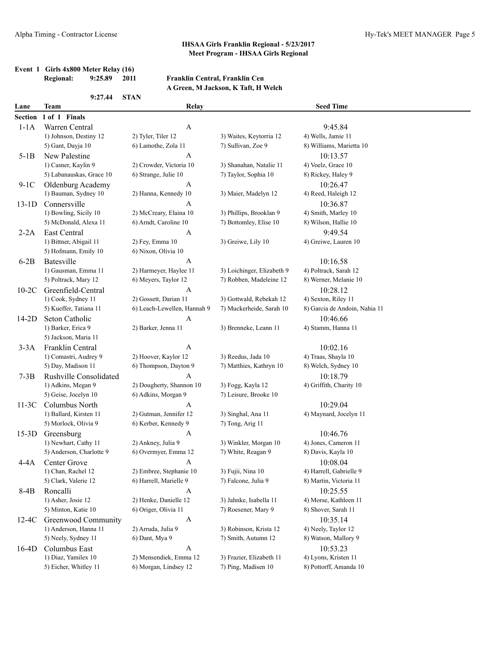#### **Event 1 Girls 4x800 Meter Relay (16) Regional: 9:25.89 2011 Franklin Central, Franklin Cen**

### **A Green, M Jackson, K Taft, H Welch**

|                | 9:27.44                       | <b>STAN</b>                 |                            |                               |  |
|----------------|-------------------------------|-----------------------------|----------------------------|-------------------------------|--|
| Lane           | Team                          | Relay                       |                            | <b>Seed Time</b>              |  |
| <b>Section</b> | 1 of 1 Finals                 |                             |                            |                               |  |
| $1-1A$         | Warren Central                | A                           |                            | 9:45.84                       |  |
|                | 1) Johnson, Destiny 12        | 2) Tyler, Tiler 12          | 3) Waites, Keytorria 12    | 4) Wells, Jamie 11            |  |
|                | 5) Gant, Dayja 10             | 6) Lamothe, Zola 11         | 7) Sullivan, Zoe 9         | 8) Williams, Marietta 10      |  |
| $5-1B$         | New Palestine                 | A                           |                            | 10:13.57                      |  |
|                | 1) Casner, Kaylin 9           | 2) Crowder, Victoria 10     | 3) Shanahan, Natalie 11    | 4) Voelz, Grace 10            |  |
|                | 5) Labanauskas, Grace 10      | 6) Strange, Julie 10        | 7) Taylor, Sophia 10       | 8) Rickey, Haley 9            |  |
| $9-1C$         | Oldenburg Academy             | A                           |                            | 10:26.47                      |  |
|                | 1) Bauman, Sydney 10          | 2) Hanna, Kennedy 10        | 3) Maier, Madelyn 12       | 4) Reed, Haleigh 12           |  |
| $13-1D$        | Connersville                  | A                           |                            | 10:36.87                      |  |
|                | 1) Bowling, Sicily 10         | 2) McCreary, Elaina 10      | 3) Phillips, Brooklan 9    | 4) Smith, Marley 10           |  |
|                | 5) McDonald, Alexa 11         | 6) Arndt, Caroline 10       | 7) Bottomley, Elise 10     | 8) Wilson, Hallie 10          |  |
| $2-2A$         | East Central                  | A                           |                            | 9:49.54                       |  |
|                | 1) Bittner, Abigail 11        | 2) Fey, Emma 10             | 3) Greiwe, Lily 10         | 4) Greiwe, Lauren 10          |  |
|                | 5) Hofmann, Emily 10          | 6) Nixon, Olivia 10         |                            |                               |  |
| $6-2B$         | Batesville                    | A                           |                            | 10:16.58                      |  |
|                | 1) Gausman, Emma 11           | 2) Harmeyer, Haylee 11      | 3) Loichinger, Elizabeth 9 | 4) Poltrack, Sarah 12         |  |
|                | 5) Poltrack, Mary 12          | 6) Meyers, Taylor 12        | 7) Robben, Madeleine 12    | 8) Werner, Melanie 10         |  |
| $10-2C$        | Greenfield-Central            | A                           |                            | 10:28.12                      |  |
|                | 1) Cook, Sydney 11            | 2) Gossett, Darian 11       | 3) Gottwald, Rebekah 12    | 4) Sexton, Riley 11           |  |
|                | 5) Kueffer, Tatiana 11        | 6) Leach-Lewellen, Hannah 9 | 7) Muckerheide, Sarah 10   | 8) Garcia de Andoin, Nahia 11 |  |
| $14-2D$        | Seton Catholic                | A                           |                            | 10:46.66                      |  |
|                | 1) Barker, Erica 9            | 2) Barker, Jenna 11         | 3) Brenneke, Leann 11      | 4) Stamm, Hanna 11            |  |
|                | 5) Jackson, Maria 11          |                             |                            |                               |  |
| $3-3A$         | Franklin Central              | A                           |                            | 10:02.16                      |  |
|                | 1) Comastri, Audrey 9         | 2) Hoover, Kaylor 12        | 3) Reedus, Jada 10         | 4) Traas, Shayla 10           |  |
|                | 5) Day, Madison 11            | 6) Thompson, Dayton 9       | 7) Matthies, Kathryn 10    | 8) Welch, Sydney 10           |  |
| $7-3B$         | <b>Rushville Consolidated</b> | A                           |                            | 10:18.79                      |  |
|                | 1) Adkins, Megan 9            | 2) Dougherty, Shannon 10    | 3) Fogg, Kayla 12          | 4) Griffith, Charity 10       |  |
|                | 5) Geise, Jocelyn 10          | 6) Adkins, Morgan 9         | 7) Leisure, Brooke 10      |                               |  |
| $11-3C$        | Columbus North                | A                           |                            | 10:29.04                      |  |
|                | 1) Ballard, Kirsten 11        | 2) Gutman, Jennifer 12      | 3) Singhal, Ana 11         | 4) Maynard, Jocelyn 11        |  |
|                | 5) Morlock, Olivia 9          | 6) Kerber, Kennedy 9        | 7) Tong, Arig 11           |                               |  |
| $15-3D$        | Greensburg                    | A                           |                            | 10:46.76                      |  |
|                | 1) Newhart, Cathy 11          | 2) Ankney, Julia 9          | 3) Winkler, Morgan 10      | 4) Jones, Cameron 11          |  |
|                | 5) Anderson, Charlotte 9      | 6) Overmyer, Emma 12        | 7) White, Reagan 9         | 8) Davis, Kayla 10            |  |
| 4-4A           | Center Grove                  | A                           |                            | 10:08.04                      |  |
|                | 1) Chan, Rachel 12            | 2) Embree, Stephanie 10     | 3) Fujii, Nina 10          | 4) Harrell, Gabrielle 9       |  |
|                | 5) Clark, Valerie 12          | 6) Harrell, Marielle 9      | 7) Falcone, Julia 9        | 8) Martin, Victoria 11        |  |
| 8-4B           | Roncalli                      | $\mathbf{A}$                |                            | 10:25.55                      |  |
|                | 1) Asher, Josie 12            | 2) Henke, Danielle 12       | 3) Jahnke, Isabella 11     | 4) Morse, Kathleen 11         |  |
|                | 5) Minton, Katie 10           | 6) Origer, Olivia 11        | 7) Roesener, Mary 9        | 8) Shover, Sarah 11           |  |
| $12-4C$        | Greenwood Community           | A                           |                            | 10:35.14                      |  |
|                | 1) Anderson, Hanna 11         | 2) Arruda, Julia 9          | 3) Robinson, Krista 12     | 4) Neely, Taylor 12           |  |
|                | 5) Neely, Sydney 11           | 6) Dant, Mya 9              | 7) Smith, Autumn 12        | 8) Watson, Mallory 9          |  |
| $16-4D$        | Columbus East                 | A                           |                            | 10:53.23                      |  |
|                | 1) Diaz, Yamilex 10           | 2) Mensendiek, Emma 12      | 3) Frazier, Elizabeth 11   | 4) Lyons, Kristen 11          |  |
|                | 5) Eicher, Whitley 11         | 6) Morgan, Lindsey 12       | 7) Ping, Madisen 10        | 8) Pottorff, Amanda 10        |  |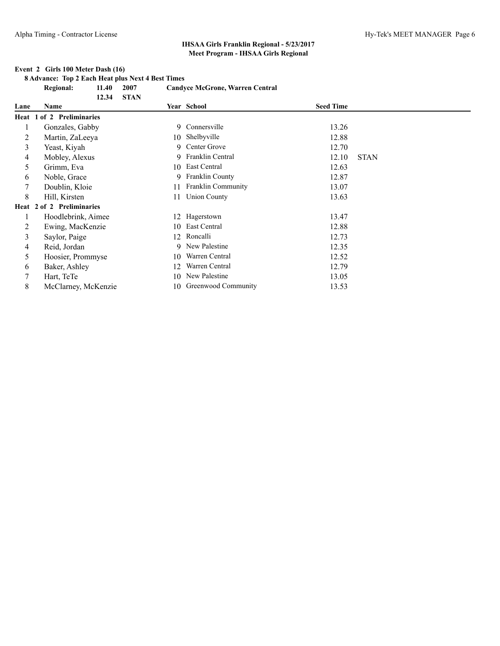#### **Event 2 Girls 100 Meter Dash (16)**

**8 Advance: Top 2 Each Heat plus Next 4 Best Times**

**Regional: 11.40 2007 Candyce McGrone, Warren Central**

|      | <b>STAN</b><br>12.34      |     |                     |                  |             |
|------|---------------------------|-----|---------------------|------------------|-------------|
| Lane | Name                      |     | Year School         | <b>Seed Time</b> |             |
|      | Heat 1 of 2 Preliminaries |     |                     |                  |             |
|      | Gonzales, Gabby           |     | 9 Connersville      | 13.26            |             |
| 2    | Martin, ZaLeeya           | 10  | Shelbyville         | 12.88            |             |
| 3    | Yeast, Kiyah              | 9   | Center Grove        | 12.70            |             |
| 4    | Mobley, Alexus            |     | 9 Franklin Central  | 12.10            | <b>STAN</b> |
| 5.   | Grimm, Eva                | 10  | East Central        | 12.63            |             |
| 6    | Noble, Grace              |     | 9 Franklin County   | 12.87            |             |
|      | Doublin, Kloie            | 11  | Franklin Community  | 13.07            |             |
| 8    | Hill, Kirsten             | 11  | <b>Union County</b> | 13.63            |             |
|      | Heat 2 of 2 Preliminaries |     |                     |                  |             |
|      | Hoodlebrink, Aimee        | 12. | Hagerstown          | 13.47            |             |
| 2    | Ewing, MacKenzie          | 10  | East Central        | 12.88            |             |
| 3    | Saylor, Paige             | 12. | Roncalli            | 12.73            |             |
| 4    | Reid, Jordan              |     | 9 New Palestine     | 12.35            |             |
| 5    | Hoosier, Prommyse         | 10  | Warren Central      | 12.52            |             |
| 6    | Baker, Ashley             | 12  | Warren Central      | 12.79            |             |
|      | Hart, TeTe                | 10  | New Palestine       | 13.05            |             |
| 8    | McClarney, McKenzie       | 10  | Greenwood Community | 13.53            |             |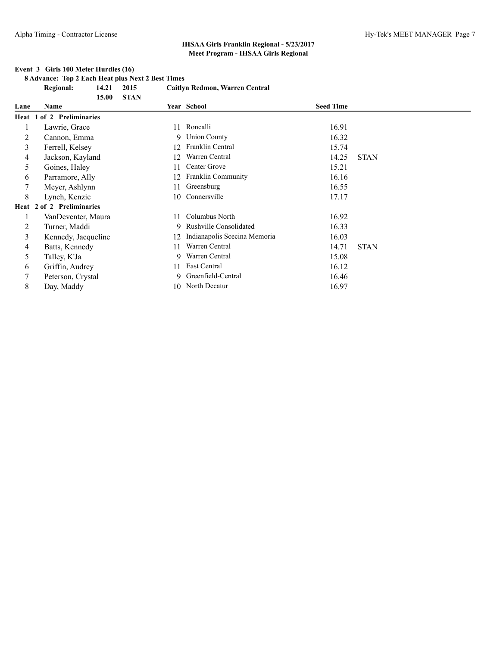#### **Event 3 Girls 100 Meter Hurdles (16)**

**8 Advance: Top 2 Each Heat plus Next 2 Best Times Regional: 14.21 2015 Caitlyn Redmon, Warren Central 15.00 STAN**

| Lane | <b>Name</b>               |    | Year School                  | <b>Seed Time</b> |             |
|------|---------------------------|----|------------------------------|------------------|-------------|
|      | Heat 1 of 2 Preliminaries |    |                              |                  |             |
|      | Lawrie, Grace             | 11 | Roncalli                     | 16.91            |             |
| 2    | Cannon, Emma              |    | 9 Union County               | 16.32            |             |
| 3    | Ferrell, Kelsey           | 12 | Franklin Central             | 15.74            |             |
| 4    | Jackson, Kayland          | 12 | Warren Central               | 14.25            | <b>STAN</b> |
| 5    | Goines, Haley             | 11 | Center Grove                 | 15.21            |             |
| 6    | Parramore, Ally           | 12 | <b>Franklin Community</b>    | 16.16            |             |
|      | Meyer, Ashlynn            | 11 | Greensburg                   | 16.55            |             |
| 8    | Lynch, Kenzie             | 10 | Connersville                 | 17.17            |             |
|      | Heat 2 of 2 Preliminaries |    |                              |                  |             |
|      | VanDeventer, Maura        | 11 | Columbus North               | 16.92            |             |
| 2    | Turner, Maddi             |    | 9 Rushville Consolidated     | 16.33            |             |
| 3    | Kennedy, Jacqueline       | 12 | Indianapolis Scecina Memoria | 16.03            |             |
| 4    | Batts, Kennedy            | 11 | Warren Central               | 14.71            | <b>STAN</b> |
| 5    | Talley, K'Ja              | 9. | Warren Central               | 15.08            |             |
| 6    | Griffin, Audrey           | 11 | East Central                 | 16.12            |             |
|      | Peterson, Crystal         | 9. | Greenfield-Central           | 16.46            |             |
| 8    | Day, Maddy                | 10 | North Decatur                | 16.97            |             |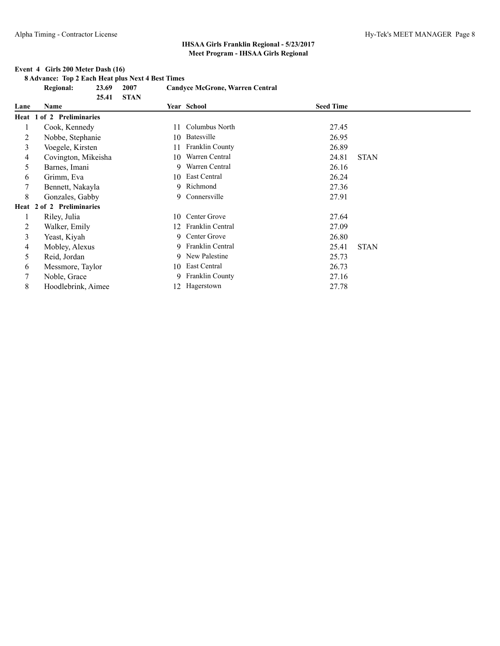#### **Event 4 Girls 200 Meter Dash (16)**

**8 Advance: Top 2 Each Heat plus Next 4 Best Times**

**Regional: 23.69 2007 Candyce McGrone, Warren Central**

| 25.41               |                                                        |                   |                                                                                                                                                                                                                                 |             |
|---------------------|--------------------------------------------------------|-------------------|---------------------------------------------------------------------------------------------------------------------------------------------------------------------------------------------------------------------------------|-------------|
| Name                |                                                        |                   | <b>Seed Time</b>                                                                                                                                                                                                                |             |
|                     |                                                        |                   |                                                                                                                                                                                                                                 |             |
| Cook, Kennedy       | 11                                                     |                   | 27.45                                                                                                                                                                                                                           |             |
| Nobbe, Stephanie    | 10                                                     |                   | 26.95                                                                                                                                                                                                                           |             |
| Voegele, Kirsten    | 11                                                     | Franklin County   | 26.89                                                                                                                                                                                                                           |             |
| Covington, Mikeisha | 10                                                     | Warren Central    | 24.81                                                                                                                                                                                                                           | <b>STAN</b> |
| Barnes, Imani       | 9                                                      | Warren Central    | 26.16                                                                                                                                                                                                                           |             |
| Grimm, Eva          |                                                        |                   | 26.24                                                                                                                                                                                                                           |             |
| Bennett, Nakayla    |                                                        |                   | 27.36                                                                                                                                                                                                                           |             |
| Gonzales, Gabby     |                                                        |                   | 27.91                                                                                                                                                                                                                           |             |
|                     |                                                        |                   |                                                                                                                                                                                                                                 |             |
| Riley, Julia        | 10                                                     |                   | 27.64                                                                                                                                                                                                                           |             |
| Walker, Emily       | 12                                                     | Franklin Central  | 27.09                                                                                                                                                                                                                           |             |
| Yeast, Kiyah        | 9                                                      |                   | 26.80                                                                                                                                                                                                                           |             |
| Mobley, Alexus      |                                                        |                   | 25.41                                                                                                                                                                                                                           | <b>STAN</b> |
| Reid, Jordan        |                                                        |                   | 25.73                                                                                                                                                                                                                           |             |
| Messmore, Taylor    |                                                        |                   | 26.73                                                                                                                                                                                                                           |             |
| Noble, Grace        | 9.                                                     |                   | 27.16                                                                                                                                                                                                                           |             |
| Hoodlebrink, Aimee  | 12.                                                    |                   | 27.78                                                                                                                                                                                                                           |             |
|                     | Heat 1 of 2 Preliminaries<br>Heat 2 of 2 Preliminaries | <b>STAN</b><br>10 | Year School<br>Columbus North<br>Batesville<br>10 East Central<br>9 Richmond<br>9 Connersville<br>Center Grove<br>Center Grove<br>9 Franklin Central<br>9 New Palestine<br>East Central<br><b>Franklin County</b><br>Hagerstown |             |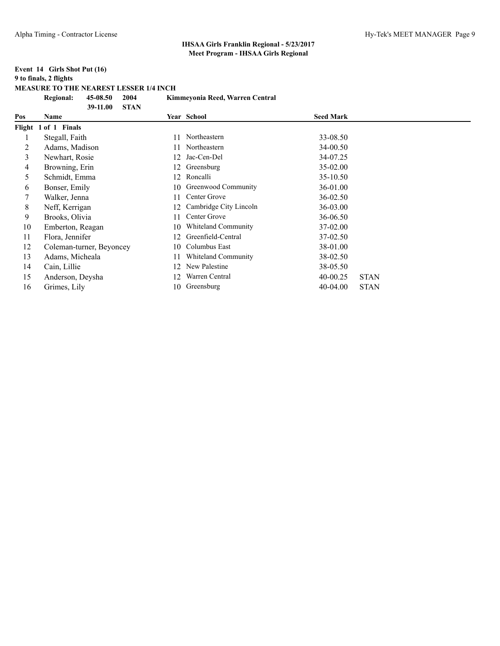#### **Event 14 Girls Shot Put (16) 9 to finals, 2 flights MEASURE TO THE NEAREST LESSER 1/4 INCH Regional: 45-08.50 2004 Kimmeyonia Reed, Warren Central**

|     | <b>STAN</b><br>39-11.00  |    |                            |                  |             |
|-----|--------------------------|----|----------------------------|------------------|-------------|
| Pos | Name                     |    | <b>Year School</b>         | <b>Seed Mark</b> |             |
|     | Flight 1 of 1 Finals     |    |                            |                  |             |
|     | Stegall, Faith           |    | Northeastern               | 33-08.50         |             |
| 2   | Adams, Madison           |    | Northeastern               | 34-00.50         |             |
| 3   | Newhart, Rosie           | 12 | Jac-Cen-Del                | 34-07.25         |             |
| 4   | Browning, Erin           | 12 | Greensburg                 | 35-02.00         |             |
| 5   | Schmidt, Emma            | 12 | Roncalli                   | 35-10.50         |             |
| 6   | Bonser, Emily            | 10 | Greenwood Community        | 36-01.00         |             |
|     | Walker, Jenna            | 11 | Center Grove               | 36-02.50         |             |
| 8   | Neff, Kerrigan           | 12 | Cambridge City Lincoln     | 36-03.00         |             |
| 9   | Brooks, Olivia           | 11 | Center Grove               | 36-06.50         |             |
| 10  | Emberton, Reagan         | 10 | <b>Whiteland Community</b> | 37-02.00         |             |
| 11  | Flora, Jennifer          | 12 | Greenfield-Central         | 37-02.50         |             |
| 12  | Coleman-turner, Beyoncey | 10 | Columbus East              | 38-01.00         |             |
| 13  | Adams, Micheala          | 11 | <b>Whiteland Community</b> | 38-02.50         |             |
| 14  | Cain, Lillie             | 12 | New Palestine              | 38-05.50         |             |
| 15  | Anderson, Deysha         | 12 | Warren Central             | 40-00.25         | <b>STAN</b> |
| 16  | Grimes, Lily             | 10 | Greensburg                 | $40-04.00$       | <b>STAN</b> |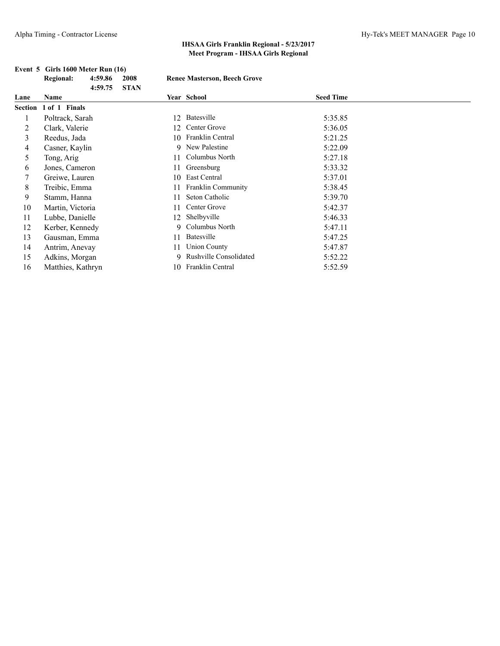|      | Event 5 Girls 1600 Meter Run (16) |         |             |    |                                     |                  |  |
|------|-----------------------------------|---------|-------------|----|-------------------------------------|------------------|--|
|      | <b>Regional:</b>                  | 4:59.86 | 2008        |    | <b>Renee Masterson, Beech Grove</b> |                  |  |
|      |                                   | 4:59.75 | <b>STAN</b> |    |                                     |                  |  |
| Lane | Name                              |         |             |    | Year School                         | <b>Seed Time</b> |  |
|      | Section 1 of 1 Finals             |         |             |    |                                     |                  |  |
|      | Poltrack, Sarah                   |         |             | 12 | Batesville                          | 5:35.85          |  |
| 2    | Clark, Valerie                    |         |             | 12 | Center Grove                        | 5:36.05          |  |
| 3    | Reedus, Jada                      |         |             | 10 | <b>Franklin Central</b>             | 5:21.25          |  |
| 4    | Casner, Kaylin                    |         |             | 9  | New Palestine                       | 5:22.09          |  |
| 5    | Tong, Arig                        |         |             | 11 | Columbus North                      | 5:27.18          |  |
| 6    | Jones, Cameron                    |         |             | 11 | Greensburg                          | 5:33.32          |  |
| 7    | Greiwe, Lauren                    |         |             | 10 | East Central                        | 5:37.01          |  |
| 8    | Treibic, Emma                     |         |             | 11 | Franklin Community                  | 5:38.45          |  |
| 9    | Stamm, Hanna                      |         |             | 11 | Seton Catholic                      | 5:39.70          |  |
| 10   | Martin, Victoria                  |         |             | 11 | Center Grove                        | 5:42.37          |  |
| 11   | Lubbe, Danielle                   |         |             | 12 | Shelbyville                         | 5:46.33          |  |
| 12   | Kerber, Kennedy                   |         |             | 9. | Columbus North                      | 5:47.11          |  |
| 13   | Gausman, Emma                     |         |             | 11 | Batesville                          | 5:47.25          |  |
| 14   | Antrim, Anevay                    |         |             | 11 | <b>Union County</b>                 | 5:47.87          |  |
| 15   | Adkins, Morgan                    |         |             | 9. | <b>Rushville Consolidated</b>       | 5:52.22          |  |
| 16   | Matthies, Kathryn                 |         |             | 10 | Franklin Central                    | 5:52.59          |  |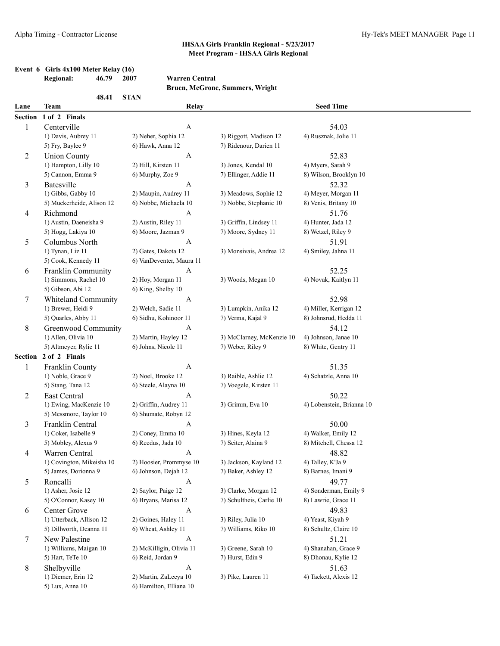|           | Event $6$ Girls $4x100$ Meter Relay (16) |      |
|-----------|------------------------------------------|------|
| Regional: | 46.79                                    | 2007 |

### **Regional: 46.79 2007 Warren Central**

**Bruen, McGrone, Summers, Wright**

|                | 48.41                      | <b>STAN</b>              |                           |                           |
|----------------|----------------------------|--------------------------|---------------------------|---------------------------|
| Lane           | <b>Team</b>                | Relay                    |                           | <b>Seed Time</b>          |
| <b>Section</b> | 1 of 2 Finals              |                          |                           |                           |
| 1              | Centerville                | $\mathbf{A}$             |                           | 54.03                     |
|                | 1) Davis, Aubrey 11        | 2) Neher, Sophia 12      | 3) Riggott, Madison 12    | 4) Rusznak, Jolie 11      |
|                | 5) Fry, Baylee 9           | 6) Hawk, Anna 12         | 7) Ridenour, Darien 11    |                           |
| 2              | <b>Union County</b>        | $\boldsymbol{A}$         |                           | 52.83                     |
|                | 1) Hampton, Lilly 10       | 2) Hill, Kirsten 11      | 3) Jones, Kendal 10       | 4) Myers, Sarah 9         |
|                | 5) Cannon, Emma 9          | 6) Murphy, Zoe 9         | 7) Ellinger, Addie 11     | 8) Wilson, Brooklyn 10    |
| 3              | Batesville                 | $\boldsymbol{A}$         |                           | 52.32                     |
|                | 1) Gibbs, Gabby 10         | 2) Maupin, Audrey 11     | 3) Meadows, Sophie 12     | 4) Meyer, Morgan 11       |
|                | 5) Muckerheide, Alison 12  | 6) Nobbe, Michaela 10    | 7) Nobbe, Stephanie 10    | 8) Venis, Britany 10      |
| 4              | Richmond                   | $\boldsymbol{A}$         |                           | 51.76                     |
|                | 1) Austin, Daeneisha 9     | 2) Austin, Riley 11      | 3) Griffin, Lindsey 11    | 4) Hunter, Jada 12        |
|                | 5) Hogg, Lakiya 10         | 6) Moore, Jazman 9       | 7) Moore, Sydney 11       | 8) Wetzel, Riley 9        |
| 5              | Columbus North             | A                        |                           | 51.91                     |
|                | 1) Tynan, Liz 11           | 2) Gates, Dakota 12      | 3) Monsivais, Andrea 12   | 4) Smiley, Jahna 11       |
|                | 5) Cook, Kennedy 11        | 6) VanDeventer, Maura 11 |                           |                           |
| 6              | Franklin Community         | $\mathbf{A}$             |                           | 52.25                     |
|                | 1) Simmons, Rachel 10      | 2) Hoy, Morgan 11        | 3) Woods, Megan 10        | 4) Novak, Kaitlyn 11      |
|                | 5) Gibson, Abi 12          | 6) King, Shelby 10       |                           |                           |
| 7              | <b>Whiteland Community</b> | $\mathbf{A}$             |                           | 52.98                     |
|                | 1) Brewer, Heidi 9         | 2) Welch, Sadie 11       | 3) Lumpkin, Anika 12      | 4) Miller, Kerrigan 12    |
|                | 5) Quarles, Abby 11        | 6) Sidhu, Kohinoor 11    | 7) Verma, Kajal 9         | 8) Johnsrud, Hedda 11     |
| 8              | Greenwood Community        | $\boldsymbol{A}$         |                           | 54.12                     |
|                | 1) Allen, Olivia 10        | 2) Martin, Hayley 12     | 3) McClarney, McKenzie 10 | 4) Johnson, Janae 10      |
|                | 5) Altmeyer, Rylie 11      | 6) Johns, Nicole 11      | 7) Weber, Riley 9         | 8) White, Gentry 11       |
| Section        | 2 of 2 Finals              |                          |                           |                           |
| 1              | Franklin County            | $\mathbf{A}$             |                           | 51.35                     |
|                | 1) Noble, Grace 9          | 2) Noel, Brooke 12       | 3) Raible, Ashlie 12      | 4) Schatzle, Anna 10      |
|                | 5) Stang, Tana 12          | 6) Steele, Alayna 10     | 7) Voegele, Kirsten 11    |                           |
| 2              | East Central               | A                        |                           | 50.22                     |
|                | 1) Ewing, MacKenzie 10     | 2) Griffin, Audrey 11    | 3) Grimm, Eva 10          | 4) Lobenstein, Brianna 10 |
|                | 5) Messmore, Taylor 10     | 6) Shumate, Robyn 12     |                           |                           |
| 3              | Franklin Central           | A                        |                           | 50.00                     |
|                | 1) Coker, Isabelle 9       | 2) Coney, Emma 10        | 3) Hines, Keyla 12        | 4) Walker, Emily 12       |
|                | 5) Mobley, Alexus 9        | 6) Reedus, Jada 10       | 7) Seiter, Alaina 9       | 8) Mitchell, Chessa 12    |
| 4              | Warren Central             | A                        |                           | 48.82                     |
|                | 1) Covington, Mikeisha 10  | 2) Hoosier, Prommyse 10  | 3) Jackson, Kayland 12    | 4) Talley, K'Ja 9         |
|                | 5) James, Dorionna 9       | 6) Johnson, Dejah 12     | 7) Baker, Ashley 12       | 8) Barnes, Imani 9        |
| 5              | Roncalli                   | $\mathbf{A}$             |                           | 49.77                     |
|                | 1) Asher, Josie 12         | 2) Saylor, Paige 12      | 3) Clarke, Morgan 12      | 4) Sonderman, Emily 9     |
|                | 5) O'Connor, Kasey 10      | 6) Bryans, Marisa 12     | 7) Schultheis, Carlie 10  | 8) Lawrie, Grace 11       |
| 6              | Center Grove               | $\mathbf{A}$             |                           | 49.83                     |
|                | 1) Utterback, Allison 12   | 2) Goines, Haley 11      | 3) Riley, Julia 10        | 4) Yeast, Kiyah 9         |
|                | 5) Dillworth, Deanna 11    | 6) Wheat, Ashley 11      | 7) Williams, Riko 10      | 8) Schultz, Claire 10     |
| $\tau$         | New Palestine              | $\mathbf{A}$             |                           | 51.21                     |
|                | 1) Williams, Maigan 10     | 2) McKilligin, Olivia 11 | 3) Greene, Sarah 10       | 4) Shanahan, Grace 9      |
|                | 5) Hart, TeTe 10           | 6) Reid, Jordan 9        | 7) Hurst, Edin 9          | 8) Dhonau, Kylie 12       |
| 8              | Shelbyville                | $\mathbf{A}$             |                           | 51.63                     |
|                | 1) Diemer, Erin 12         | 2) Martin, ZaLeeya 10    | 3) Pike, Lauren 11        | 4) Tackett, Alexis 12     |
|                | 5) Lux, Anna 10            | 6) Hamilton, Elliana 10  |                           |                           |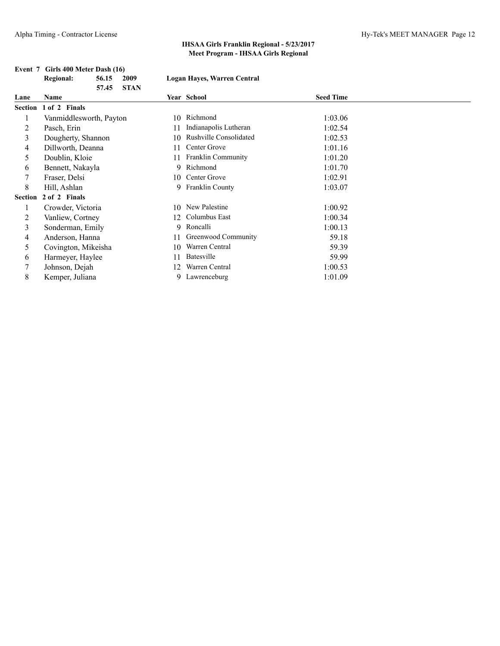**Event 7 Girls 400 Meter Dash (16)**

|                | <b>Regional:</b>        | 56.15 | 2009        | Logan Hayes, Warren Central |                               |                  |  |
|----------------|-------------------------|-------|-------------|-----------------------------|-------------------------------|------------------|--|
|                |                         | 57.45 | <b>STAN</b> |                             |                               |                  |  |
| Lane           | Name                    |       |             |                             | Year School                   | <b>Seed Time</b> |  |
| Section        | 1 of 2 Finals           |       |             |                             |                               |                  |  |
|                | Vanmiddlesworth, Payton |       |             | 10                          | Richmond                      | 1:03.06          |  |
| 2              | Pasch, Erin             |       |             | 11                          | Indianapolis Lutheran         | 1:02.54          |  |
| 3              | Dougherty, Shannon      |       |             | 10                          | <b>Rushville Consolidated</b> | 1:02.53          |  |
| 4              | Dillworth, Deanna       |       |             | 11                          | Center Grove                  | 1:01.16          |  |
| 5              | Doublin, Kloie          |       |             | 11                          | Franklin Community            | 1:01.20          |  |
| 6              | Bennett, Nakayla        |       |             |                             | 9 Richmond                    | 1:01.70          |  |
|                | Fraser, Delsi           |       |             | 10                          | Center Grove                  | 1:02.91          |  |
| 8              | Hill, Ashlan            |       |             |                             | 9 Franklin County             | 1:03.07          |  |
| <b>Section</b> | 2 of 2 Finals           |       |             |                             |                               |                  |  |
|                | Crowder, Victoria       |       |             | 10                          | New Palestine                 | 1:00.92          |  |
| 2              | Vanliew, Cortney        |       |             | 12                          | Columbus East                 | 1:00.34          |  |
| 3              | Sonderman, Emily        |       |             |                             | 9 Roncalli                    | 1:00.13          |  |
| 4              | Anderson, Hanna         |       |             | 11                          | Greenwood Community           | 59.18            |  |
| 5              | Covington, Mikeisha     |       |             | 10                          | Warren Central                | 59.39            |  |
| 6              | Harmeyer, Haylee        |       |             | 11                          | Batesville                    | 59.99            |  |
|                | Johnson, Dejah          |       |             | 12                          | Warren Central                | 1:00.53          |  |
| 8              | Kemper, Juliana         |       |             | 9                           | Lawrenceburg                  | 1:01.09          |  |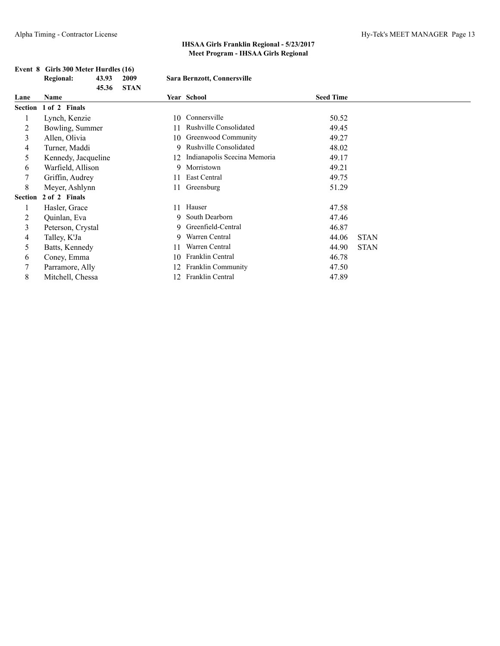|         | 45.36               | <b>STAN</b> |                               |                  |             |
|---------|---------------------|-------------|-------------------------------|------------------|-------------|
| Lane    | Name                |             | Year School                   | <b>Seed Time</b> |             |
| Section | 1 of 2 Finals       |             |                               |                  |             |
|         | Lynch, Kenzie       | 10          | Connersville                  | 50.52            |             |
| 2       | Bowling, Summer     | 11          | <b>Rushville Consolidated</b> | 49.45            |             |
| 3       | Allen, Olivia       | 10          | Greenwood Community           | 49.27            |             |
| 4       | Turner, Maddi       | 9.          | <b>Rushville Consolidated</b> | 48.02            |             |
| 5       | Kennedy, Jacqueline | 12          | Indianapolis Scecina Memoria  | 49.17            |             |
| 6       | Warfield, Allison   | 9.          | Morristown                    | 49.21            |             |
|         | Griffin, Audrey     |             | East Central                  | 49.75            |             |
| 8       | Meyer, Ashlynn      | 11          | Greensburg                    | 51.29            |             |
| Section | 2 of 2 Finals       |             |                               |                  |             |
|         | Hasler, Grace       | 11          | Hauser                        | 47.58            |             |
| 2       | Quinlan, Eva        |             | 9 South Dearborn              | 47.46            |             |
| 3       | Peterson, Crystal   | 9           | Greenfield-Central            | 46.87            |             |
| 4       | Talley, K'Ja        | 9.          | Warren Central                | 44.06            | <b>STAN</b> |
| 5       | Batts, Kennedy      | 11          | Warren Central                | 44.90            | <b>STAN</b> |
| 6       | Coney, Emma         | 10          | Franklin Central              | 46.78            |             |
|         | Parramore, Ally     | 12          | Franklin Community            | 47.50            |             |
| 8       | Mitchell, Chessa    | 12          | Franklin Central              | 47.89            |             |

#### **Event 8 Girls 300 Meter Hurdles (16) Regional: 43.93 2009 Sara Bernzott, Connersville**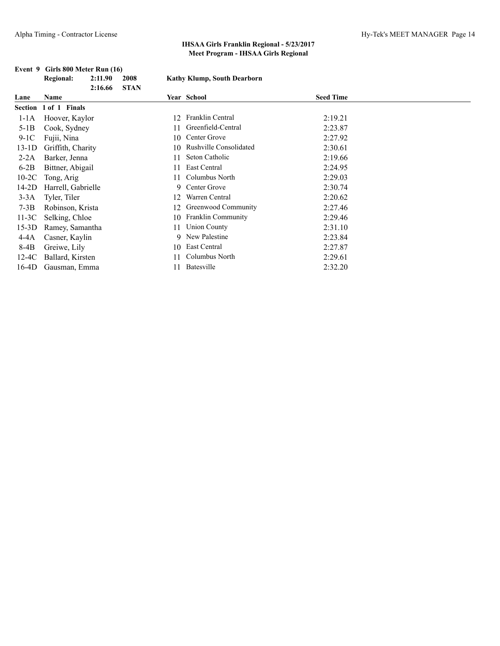|                       | 2:16.66 | <b>STAN</b>                                                                                                                                                                                                                    |                           |                                                                                        |
|-----------------------|---------|--------------------------------------------------------------------------------------------------------------------------------------------------------------------------------------------------------------------------------|---------------------------|----------------------------------------------------------------------------------------|
| Name                  |         |                                                                                                                                                                                                                                |                           | <b>Seed Time</b>                                                                       |
| Section 1 of 1 Finals |         |                                                                                                                                                                                                                                |                           |                                                                                        |
|                       |         | 12                                                                                                                                                                                                                             | <b>Franklin Central</b>   | 2:19.21                                                                                |
|                       |         | 11                                                                                                                                                                                                                             | Greenfield-Central        | 2:23.87                                                                                |
| Fujii, Nina           |         | 10                                                                                                                                                                                                                             | Center Grove              | 2:27.92                                                                                |
|                       |         | 10                                                                                                                                                                                                                             | Rushville Consolidated    | 2:30.61                                                                                |
|                       |         | 11                                                                                                                                                                                                                             | Seton Catholic            | 2:19.66                                                                                |
|                       |         | 11                                                                                                                                                                                                                             | East Central              | 2:24.95                                                                                |
| Tong, Arig            |         | 11                                                                                                                                                                                                                             | Columbus North            | 2:29.03                                                                                |
|                       |         |                                                                                                                                                                                                                                |                           | 2:30.74                                                                                |
| Tyler, Tiler          |         | 12                                                                                                                                                                                                                             | Warren Central            | 2:20.62                                                                                |
|                       |         | 12                                                                                                                                                                                                                             | Greenwood Community       | 2:27.46                                                                                |
|                       |         |                                                                                                                                                                                                                                | <b>Franklin Community</b> | 2:29.46                                                                                |
|                       |         | 11                                                                                                                                                                                                                             | <b>Union County</b>       | 2:31.10                                                                                |
|                       |         |                                                                                                                                                                                                                                |                           | 2:23.84                                                                                |
| Greiwe, Lily          |         |                                                                                                                                                                                                                                | East Central              | 2:27.87                                                                                |
|                       |         | 11                                                                                                                                                                                                                             | Columbus North            | 2:29.61                                                                                |
|                       |         |                                                                                                                                                                                                                                | <b>Batesville</b>         | 2:32.20                                                                                |
|                       |         | Hoover, Kaylor<br>Cook, Sydney<br>Griffith, Charity<br>Barker, Jenna<br>Bittner, Abigail<br>Harrell, Gabrielle<br>Robinson, Krista<br>Selking, Chloe<br>Ramey, Samantha<br>Casner, Kaylin<br>Ballard, Kirsten<br>Gausman, Emma | 10<br>10                  | ниш, ништр, soum <i>b</i> сш sor n<br>Year School<br>9 Center Grove<br>9 New Palestine |

# **Event 9 Girls 800 Meter Run (16)**<br>Regional: 2:11.90 2008

#### **Regional: 2:11.90 2008 Kathy Klump, South Dearborn**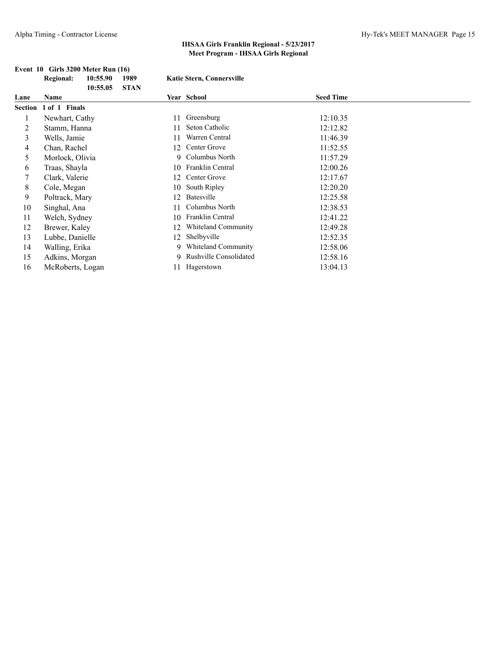|      | <b>Regional:</b>      | 10:55.90 | 1989        | <b>Katie Stern, Connersville</b> |                            |                  |
|------|-----------------------|----------|-------------|----------------------------------|----------------------------|------------------|
| Lane | <b>Name</b>           | 10:55.05 | <b>STAN</b> |                                  | Year School                | <b>Seed Time</b> |
|      | Section 1 of 1 Finals |          |             |                                  |                            |                  |
|      | Newhart, Cathy        |          |             | 11                               | Greensburg                 | 12:10.35         |
| 2    | Stamm, Hanna          |          |             | 11                               | Seton Catholic             | 12:12.82         |
| 3    | Wells, Jamie          |          |             | 11                               | Warren Central             | 11:46.39         |
| 4    | Chan, Rachel          |          |             | 12                               | Center Grove               | 11:52.55         |
| 5    | Morlock, Olivia       |          |             |                                  | 9 Columbus North           | 11:57.29         |
| 6    | Traas, Shayla         |          |             | 10                               | <b>Franklin Central</b>    | 12:00.26         |
|      | Clark, Valerie        |          |             | 12                               | Center Grove               | 12:17.67         |
| 8    | Cole, Megan           |          |             | 10                               | South Ripley               | 12:20.20         |
| 9    | Poltrack, Mary        |          |             | 12                               | Batesville                 | 12:25.58         |
| 10   | Singhal, Ana          |          |             | 11                               | Columbus North             | 12:38.53         |
| 11   | Welch, Sydney         |          |             | 10                               | Franklin Central           | 12:41.22         |
| 12   | Brewer, Kaley         |          |             | 12                               | <b>Whiteland Community</b> | 12:49.28         |
| 13   | Lubbe, Danielle       |          |             | 12                               | Shelbyville                | 12:52.35         |
| 14   | Walling, Erika        |          |             | 9                                | <b>Whiteland Community</b> | 12:58.06         |
| 15   | Adkins, Morgan        |          |             | 9.                               | Rushville Consolidated     | 12:58.16         |
| 16   | McRoberts, Logan      |          |             | 11                               | Hagerstown                 | 13:04.13         |

# **Event 10 Girls 3200 Meter Run (16)**